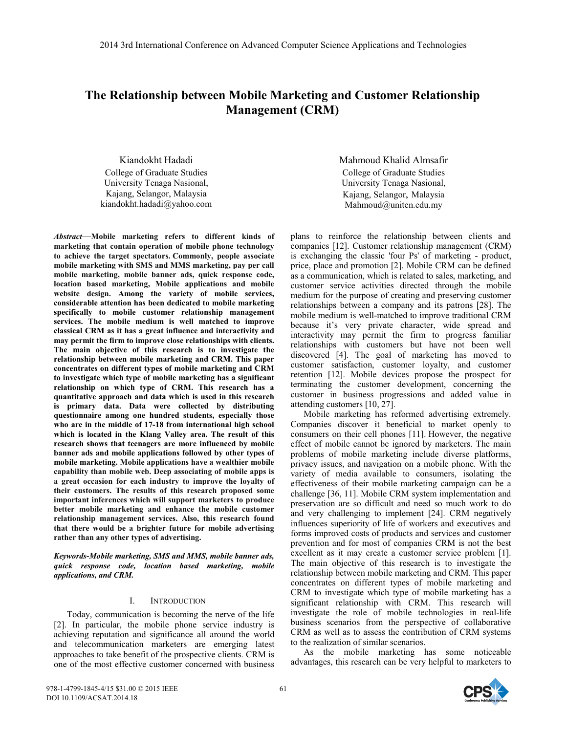# **The Relationship between Mobile Marketing and Customer Relationship Management (CRM)**

Kiandokht Hadadi College of Graduate Studies University Tenaga Nasional, Kajang, Selangor, Malaysia kiandokht.hadadi@yahoo.com

*Abstract*—**Mobile marketing refers to different kinds of marketing that contain operation of mobile phone technology to achieve the target spectators. Commonly, people associate mobile marketing with SMS and MMS marketing, pay per call mobile marketing, mobile banner ads, quick response code, location based marketing, Mobile applications and mobile website design. Among the variety of mobile services, considerable attention has been dedicated to mobile marketing specifically to mobile customer relationship management services. The mobile medium is well matched to improve classical CRM as it has a great influence and interactivity and may permit the firm to improve close relationships with clients. The main objective of this research is to investigate the relationship between mobile marketing and CRM. This paper concentrates on different types of mobile marketing and CRM to investigate which type of mobile marketing has a significant relationship on which type of CRM. This research has a quantitative approach and data which is used in this research is primary data. Data were collected by distributing questionnaire among one hundred students, especially those who are in the middle of 17-18 from international high school which is located in the Klang Valley area. The result of this research shows that teenagers are more influenced by mobile banner ads and mobile applications followed by other types of mobile marketing. Mobile applications have a wealthier mobile capability than mobile web. Deep associating of mobile apps is a great occasion for each industry to improve the loyalty of their customers. The results of this research proposed some important inferences which will support marketers to produce better mobile marketing and enhance the mobile customer relationship management services. Also, this research found that there would be a brighter future for mobile advertising rather than any other types of advertising.** 

*Keywords***-***Mobile marketing, SMS and MMS, mobile banner ads, quick response code, location based marketing, mobile applications, and CRM.*

### I. INTRODUCTION

Today, communication is becoming the nerve of the life [2]. In particular, the mobile phone service industry is achieving reputation and significance all around the world and telecommunication marketers are emerging latest approaches to take benefit of the prospective clients. CRM is one of the most effective customer concerned with business Mahmoud Khalid Almsafir College of Graduate Studies University Tenaga Nasional, Kajang, Selangor, MalaysiaMahmoud@uniten.edu.my

plans to reinforce the relationship between clients and companies [12]. Customer relationship management (CRM) is exchanging the classic 'four Ps' of marketing - product, price, place and promotion [2]. Mobile CRM can be defined as a communication, which is related to sales, marketing, and customer service activities directed through the mobile medium for the purpose of creating and preserving customer relationships between a company and its patrons [28]. The mobile medium is well-matched to improve traditional CRM because it's very private character, wide spread and interactivity may permit the firm to progress familiar relationships with customers but have not been well discovered [4]. The goal of marketing has moved to customer satisfaction, customer loyalty, and customer retention [12]. Mobile devices propose the prospect for terminating the customer development, concerning the customer in business progressions and added value in attending customers [10, 27].

Mobile marketing has reformed advertising extremely. Companies discover it beneficial to market openly to consumers on their cell phones [11]. However, the negative effect of mobile cannot be ignored by marketers. The main problems of mobile marketing include diverse platforms, privacy issues, and navigation on a mobile phone. With the variety of media available to consumers, isolating the effectiveness of their mobile marketing campaign can be a challenge [36, 11]. Mobile CRM system implementation and preservation are so difficult and need so much work to do and very challenging to implement [24]. CRM negatively influences superiority of life of workers and executives and forms improved costs of products and services and customer prevention and for most of companies CRM is not the best excellent as it may create a customer service problem [1]. The main objective of this research is to investigate the relationship between mobile marketing and CRM. This paper concentrates on different types of mobile marketing and CRM to investigate which type of mobile marketing has a significant relationship with CRM. This research will investigate the role of mobile technologies in real-life business scenarios from the perspective of collaborative CRM as well as to assess the contribution of CRM systems to the realization of similar scenarios.

As the mobile marketing has some noticeable advantages, this research can be very helpful to marketers to

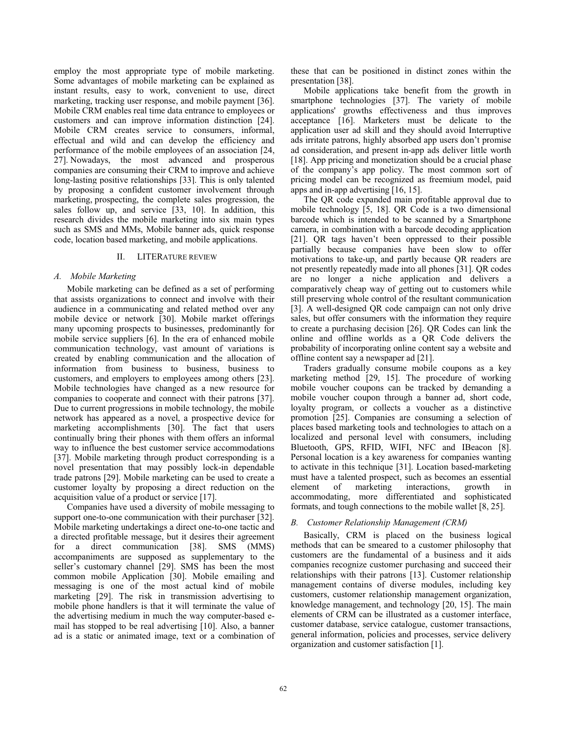employ the most appropriate type of mobile marketing. Some advantages of mobile marketing can be explained as instant results, easy to work, convenient to use, direct marketing, tracking user response, and mobile payment [36]. Mobile CRM enables real time data entrance to employees or customers and can improve information distinction [24]. Mobile CRM creates service to consumers, informal, effectual and wild and can develop the efficiency and performance of the mobile employees of an association [24, 27]. Nowadays, the most advanced and prosperous companies are consuming their CRM to improve and achieve long-lasting positive relationships [33]. This is only talented by proposing a confident customer involvement through marketing, prospecting, the complete sales progression, the sales follow up, and service [33, 10]. In addition, this research divides the mobile marketing into six main types such as SMS and MMs, Mobile banner ads, quick response code, location based marketing, and mobile applications.

### II. LITERATURE REVIEW

*A. Mobile Marketing*  Mobile marketing can be defined as a set of performing that assists organizations to connect and involve with their audience in a communicating and related method over any mobile device or network [30]. Mobile market offerings many upcoming prospects to businesses, predominantly for mobile service suppliers [6]. In the era of enhanced mobile communication technology, vast amount of variations is created by enabling communication and the allocation of information from business to business, business to customers, and employers to employees among others [23]. Mobile technologies have changed as a new resource for companies to cooperate and connect with their patrons [37]. Due to current progressions in mobile technology, the mobile network has appeared as a novel, a prospective device for marketing accomplishments [30]. The fact that users continually bring their phones with them offers an informal way to influence the best customer service accommodations [37]. Mobile marketing through product corresponding is a novel presentation that may possibly lock-in dependable trade patrons [29]. Mobile marketing can be used to create a customer loyalty by proposing a direct reduction on the acquisition value of a product or service [17].

Companies have used a diversity of mobile messaging to support one-to-one communication with their purchaser [32]. Mobile marketing undertakings a direct one-to-one tactic and a directed profitable message, but it desires their agreement for a direct communication [38]. SMS (MMS) accompaniments are supposed as supplementary to the seller's customary channel [29]. SMS has been the most common mobile Application [30]. Mobile emailing and messaging is one of the most actual kind of mobile marketing [29]. The risk in transmission advertising to mobile phone handlers is that it will terminate the value of the advertising medium in much the way computer-based email has stopped to be real advertising [10]. Also, a banner ad is a static or animated image, text or a combination of these that can be positioned in distinct zones within the presentation [38].

Mobile applications take benefit from the growth in smartphone technologies [37]. The variety of mobile applications' growths effectiveness and thus improves acceptance [16]. Marketers must be delicate to the application user ad skill and they should avoid Interruptive ads irritate patrons, highly absorbed app users don't promise ad consideration, and present in-app ads deliver little worth [18]. App pricing and monetization should be a crucial phase of the company's app policy. The most common sort of pricing model can be recognized as freemium model, paid apps and in-app advertising [16, 15].

The QR code expanded main profitable approval due to mobile technology [5, 18]. QR Code is a two dimensional barcode which is intended to be scanned by a Smartphone camera, in combination with a barcode decoding application [21]. QR tags haven't been oppressed to their possible partially because companies have been slow to offer motivations to take-up, and partly because QR readers are not presently repeatedly made into all phones [31]. QR codes are no longer a niche application and delivers a comparatively cheap way of getting out to customers while still preserving whole control of the resultant communication [3]. A well-designed QR code campaign can not only drive sales, but offer consumers with the information they require to create a purchasing decision [26]. QR Codes can link the online and offline worlds as a QR Code delivers the probability of incorporating online content say a website and offline content say a newspaper ad [21].

Traders gradually consume mobile coupons as a key marketing method [29, 15]. The procedure of working mobile voucher coupons can be tracked by demanding a mobile voucher coupon through a banner ad, short code, loyalty program, or collects a voucher as a distinctive promotion [25]. Companies are consuming a selection of places based marketing tools and technologies to attach on a localized and personal level with consumers, including Bluetooth, GPS, RFID, WIFI, NFC and IBeacon [8]. Personal location is a key awareness for companies wanting to activate in this technique [31]. Location based-marketing must have a talented prospect, such as becomes an essential element of marketing interactions, growth in accommodating, more differentiated and sophisticated formats, and tough connections to the mobile wallet [8, 25].

**B. Culture Extending Management (CPM) CRM** is placed on the business logical methods that can be smeared to a customer philosophy that customers are the fundamental of a business and it aids companies recognize customer purchasing and succeed their relationships with their patrons [13]. Customer relationship management contains of diverse modules, including key customers, customer relationship management organization, knowledge management, and technology [20, 15]. The main elements of CRM can be illustrated as a customer interface, customer database, service catalogue, customer transactions, general information, policies and processes, service delivery organization and customer satisfaction [1].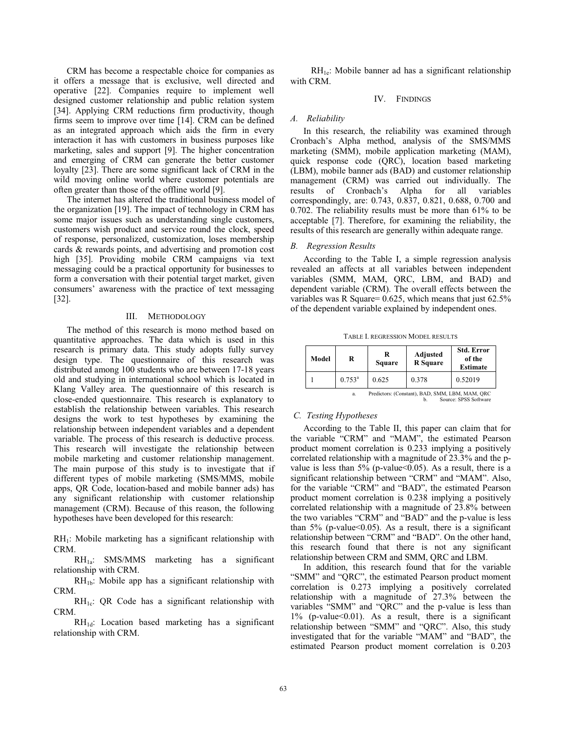CRM has become a respectable choice for companies as it offers a message that is exclusive, well directed and operative [22]. Companies require to implement well designed customer relationship and public relation system [34]. Applying CRM reductions firm productivity, though firms seem to improve over time [14]. CRM can be defined as an integrated approach which aids the firm in every interaction it has with customers in business purposes like marketing, sales and support [9]. The higher concentration and emerging of CRM can generate the better customer loyalty [23]. There are some significant lack of CRM in the wild moving online world where customer potentials are often greater than those of the offline world [9].

The internet has altered the traditional business model of the organization [19]. The impact of technology in CRM has some major issues such as understanding single customers, customers wish product and service round the clock, speed of response, personalized, customization, loses membership cards & rewards points, and advertising and promotion cost high [35]. Providing mobile CRM campaigns via text messaging could be a practical opportunity for businesses to form a conversation with their potential target market, given consumers' awareness with the practice of text messaging [32].

### III. METHODOLOGY

The method of this research is mono method based on quantitative approaches. The data which is used in this research is primary data. This study adopts fully survey design type. The questionnaire of this research was distributed among 100 students who are between 17-18 years old and studying in international school which is located in Klang Valley area. The questionnaire of this research is close-ended questionnaire. This research is explanatory to establish the relationship between variables. This research designs the work to test hypotheses by examining the relationship between independent variables and a dependent variable. The process of this research is deductive process. This research will investigate the relationship between mobile marketing and customer relationship management. The main purpose of this study is to investigate that if different types of mobile marketing (SMS/MMS, mobile apps, QR Code, location-based and mobile banner ads) has any significant relationship with customer relationship management (CRM). Because of this reason, the following hypotheses have been developed for this research:

 $RH<sub>1</sub>$ : Mobile marketing has a significant relationship with CRM.

 $RH<sub>1a</sub>$ : SMS/MMS marketing has a significant relationship with CRM.

 $RH<sub>1b</sub>$ : Mobile app has a significant relationship with CRM.

 $RH_{1c}$ : QR Code has a significant relationship with CRM.

 $RH_{1d}$ : Location based marketing has a significant relationship with CRM.

 $RH_{1e}$ : Mobile banner ad has a significant relationship with CRM.

### IV. FINDINGS

In this research, the reliability was examined through Cronbach's Alpha method, analysis of the SMS/MMS marketing (SMM), mobile application marketing (MAM), quick response code (QRC), location based marketing (LBM), mobile banner ads (BAD) and customer relationship management (CRM) was carried out individually. The results of Cronbach's Alpha for all variables correspondingly, are: 0.743, 0.837, 0.821, 0.688, 0.700 and 0.702. The reliability results must be more than 61% to be acceptable [7]. Therefore, for examining the reliability, the results of this research are generally within adequate range.

According to the Table I, a simple regression analysis revealed an affects at all variables between independent variables (SMM, MAM, QRC, LBM, and BAD) and dependent variable (CRM). The overall effects between the variables was R Square= 0.625, which means that just 62.5% of the dependent variable explained by independent ones.

TABLE I. REGRESSION MODEL RESULTS

| Model | R         | R<br><b>Square</b> | Adjusted<br><b>R</b> Square | <b>Std. Error</b><br>of the<br><b>Estimate</b> |  |
|-------|-----------|--------------------|-----------------------------|------------------------------------------------|--|
|       | $0.753^a$ | 0.625              | 0.378                       | 0.52019                                        |  |

a. Predictors: (Constant), BAD, SMM, LBM, MAM, QRC Source: SPSS Software

*C. Testing Hypotheses*  According to the Table II, this paper can claim that for the variable "CRM" and "MAM", the estimated Pearson product moment correlation is 0.233 implying a positively correlated relationship with a magnitude of 23.3% and the pvalue is less than  $5\%$  (p-value < 0.05). As a result, there is a significant relationship between "CRM" and "MAM". Also, for the variable "CRM" and "BAD", the estimated Pearson product moment correlation is 0.238 implying a positively correlated relationship with a magnitude of 23.8% between the two variables "CRM" and "BAD" and the p-value is less than  $5\%$  (p-value  $0.05$ ). As a result, there is a significant relationship between "CRM" and "BAD". On the other hand, this research found that there is not any significant relationship between CRM and SMM, QRC and LBM.

In addition, this research found that for the variable "SMM" and "QRC", the estimated Pearson product moment correlation is 0.273 implying a positively correlated relationship with a magnitude of 27.3% between the variables "SMM" and "QRC" and the p-value is less than  $1\%$  (p-value  $0.01$ ). As a result, there is a significant relationship between "SMM" and "QRC". Also, this study investigated that for the variable "MAM" and "BAD", the estimated Pearson product moment correlation is 0.203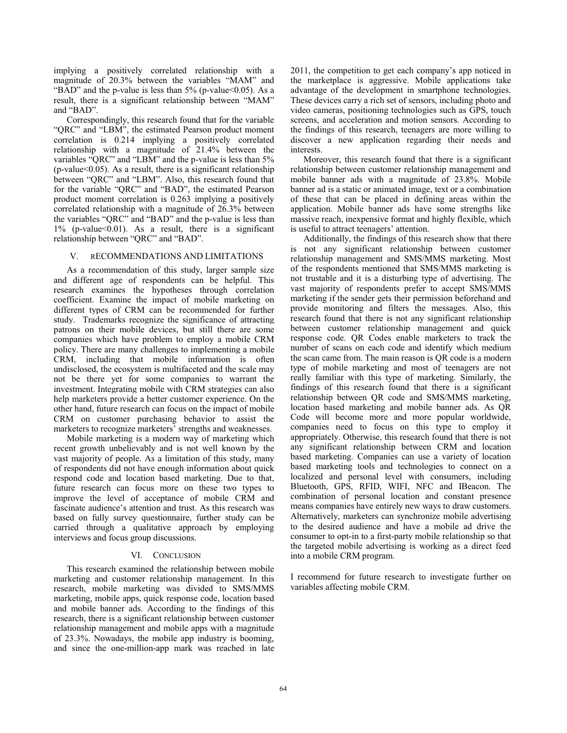implying a positively correlated relationship with a magnitude of 20.3% between the variables "MAM" and "BAD" and the p-value is less than  $5\%$  (p-value < 0.05). As a result, there is a significant relationship between "MAM" and "BAD".

Correspondingly, this research found that for the variable "QRC" and "LBM", the estimated Pearson product moment correlation is 0.214 implying a positively correlated relationship with a magnitude of 21.4% between the variables "QRC" and "LBM" and the p-value is less than 5% (p-value<0.05). As a result, there is a significant relationship between "QRC" and "LBM". Also, this research found that for the variable "QRC" and "BAD", the estimated Pearson product moment correlation is 0.263 implying a positively correlated relationship with a magnitude of 26.3% between the variables "QRC" and "BAD" and the p-value is less than 1% (p-value<0.01). As a result, there is a significant relationship between "QRC" and "BAD".

## V. RECOMMENDATIONS AND LIMITATIONS

As a recommendation of this study, larger sample size and different age of respondents can be helpful. This research examines the hypotheses through correlation coefficient. Examine the impact of mobile marketing on different types of CRM can be recommended for further study. Trademarks recognize the significance of attracting patrons on their mobile devices, but still there are some companies which have problem to employ a mobile CRM policy. There are many challenges to implementing a mobile CRM, including that mobile information is often undisclosed, the ecosystem is multifaceted and the scale may not be there yet for some companies to warrant the investment. Integrating mobile with CRM strategies can also help marketers provide a better customer experience. On the other hand, future research can focus on the impact of mobile CRM on customer purchasing behavior to assist the marketers to recognize marketers' strengths and weaknesses.

Mobile marketing is a modern way of marketing which recent growth unbelievably and is not well known by the vast majority of people. As a limitation of this study, many of respondents did not have enough information about quick respond code and location based marketing. Due to that, future research can focus more on these two types to improve the level of acceptance of mobile CRM and fascinate audience's attention and trust. As this research was based on fully survey questionnaire, further study can be carried through a qualitative approach by employing interviews and focus group discussions.

### VI. CONCLUSION

This research examined the relationship between mobile marketing and customer relationship management. In this research, mobile marketing was divided to SMS/MMS marketing, mobile apps, quick response code, location based and mobile banner ads. According to the findings of this research, there is a significant relationship between customer relationship management and mobile apps with a magnitude of 23.3%. Nowadays, the mobile app industry is booming, and since the one-million-app mark was reached in late 2011, the competition to get each company's app noticed in the marketplace is aggressive. Mobile applications take advantage of the development in smartphone technologies. These devices carry a rich set of sensors, including photo and video cameras, positioning technologies such as GPS, touch screens, and acceleration and motion sensors. According to the findings of this research, teenagers are more willing to discover a new application regarding their needs and interests.

Moreover, this research found that there is a significant relationship between customer relationship management and mobile banner ads with a magnitude of 23.8%. Mobile banner ad is a static or animated image, text or a combination of these that can be placed in defining areas within the application. Mobile banner ads have some strengths like massive reach, inexpensive format and highly flexible, which is useful to attract teenagers' attention.

Additionally, the findings of this research show that there is not any significant relationship between customer relationship management and SMS/MMS marketing. Most of the respondents mentioned that SMS/MMS marketing is not trustable and it is a disturbing type of advertising. The vast majority of respondents prefer to accept SMS/MMS marketing if the sender gets their permission beforehand and provide monitoring and filters the messages. Also, this research found that there is not any significant relationship between customer relationship management and quick response code. QR Codes enable marketers to track the number of scans on each code and identify which medium the scan came from. The main reason is QR code is a modern type of mobile marketing and most of teenagers are not really familiar with this type of marketing. Similarly, the findings of this research found that there is a significant relationship between QR code and SMS/MMS marketing, location based marketing and mobile banner ads. As QR Code will become more and more popular worldwide, companies need to focus on this type to employ it appropriately. Otherwise, this research found that there is not any significant relationship between CRM and location based marketing. Companies can use a variety of location based marketing tools and technologies to connect on a localized and personal level with consumers, including Bluetooth, GPS, RFID, WIFI, NFC and IBeacon. The combination of personal location and constant presence means companies have entirely new ways to draw customers. Alternatively, marketers can synchronize mobile advertising to the desired audience and have a mobile ad drive the consumer to opt-in to a first-party mobile relationship so that the targeted mobile advertising is working as a direct feed into a mobile CRM program.

I recommend for future research to investigate further on variables affecting mobile CRM.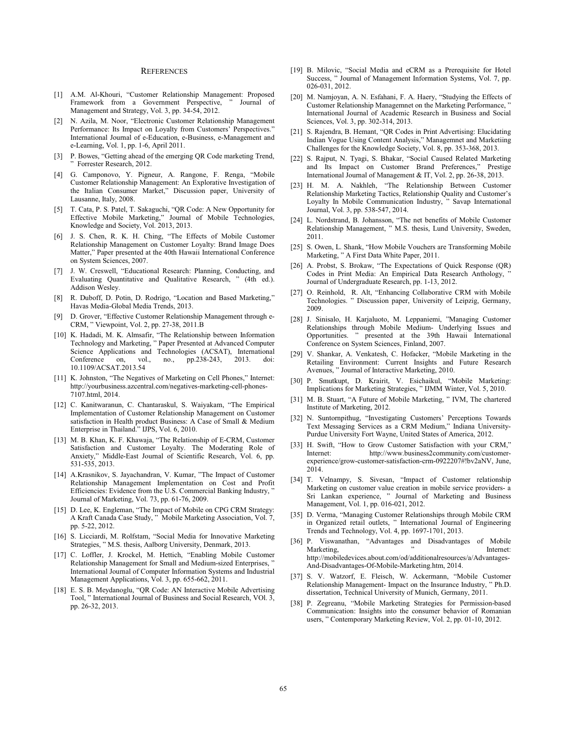### **REFERENCES**

- [1] A.M. Al-Khouri, "Customer Relationship Management: Proposed Framework from a Government Perspective, " Journal of Management and Strategy, Vol. 3, pp. 34-54, 2012.
- [2] N. Azila, M. Noor, "Electronic Customer Relationship Management Performance: Its Impact on Loyalty from Customers' Perspectives." International Journal of e-Education, e-Business, e-Management and e-Learning, Vol. 1, pp. 1-6, April 2011.
- [3] P. Bowes, "Getting ahead of the emerging QR Code marketing Trend, " Forrester Research, 2012.
- [4] G. Camponovo, Y. Pigneur, A. Rangone, F. Renga, "Mobile Customer Relationship Management: An Explorative Investigation of the Italian Consumer Market," Discussion paper, University of Lausanne, Italy, 2008.
- [5] T. Cata, P. S. Patel, T. Sakaguchi, "QR Code: A New Opportunity for Effective Mobile Marketing," Journal of Mobile Technologies, Knowledge and Society, Vol. 2013, 2013.
- [6] J. S. Chen, R. K. H. Ching, "The Effects of Mobile Customer Relationship Management on Customer Loyalty: Brand Image Does Matter," Paper presented at the 40th Hawaii International Conference on System Sciences, 2007.
- [7] J. W. Creswell, "Educational Research: Planning, Conducting, and Evaluating Quantitative and Qualitative Research, " (4th ed.). Addison Wesley.
- [8] R. Duboff, D. Potin, D. Rodrigo, "Location and Based Marketing," Havas Media-Global Media Trends, 2013.
- [9] D. Grover, "Effective Customer Relationship Management through e-CRM, " Viewpoint, Vol. 2, pp. 27-38, 2011.B
- [10] K. Hadadi, M. K. Almsafir, "The Relationship between Information Technology and Marketing, " Paper Presented at Advanced Computer Science Applications and Technologies (ACSAT), International Conference on, vol., no., pp.238-243, 2013. doi: no., pp.238-243, 10.1109/ACSAT.2013.54
- [11] K. Johnston, "The Negatives of Marketing on Cell Phones," Internet: http://yourbusiness.azcentral.com/negatives-marketing-cell-phones-7107.html, 2014.
- [12] C. Kanitwaranun, C. Chantaraskul, S. Waiyakam, "The Empirical Implementation of Customer Relationship Management on Customer satisfaction in Health product Business: A Case of Small & Medium Enterprise in Thailand." IJPS, Vol. 6, 2010.
- [13] M. B. Khan, K. F. Khawaja, "The Relationship of E-CRM, Customer Satisfaction and Customer Loyalty. The Moderating Role of Anxiety," Middle-East Journal of Scientific Research, Vol. 6, pp. 531-535, 2013.
- [14] A.Krasnikov, S. Jayachandran, V. Kumar, "The Impact of Customer Relationship Management Implementation on Cost and Profit Efficiencies: Evidence from the U.S. Commercial Banking Industry, " Journal of Marketing, Vol. 73, pp. 61-76, 2009.
- [15] D. Lee, K. Engleman, "The Impact of Mobile on CPG CRM Strategy: A Kraft Canada Case Study, " Mobile Marketing Association, Vol. 7, pp. 5-22, 2012.
- [16] S. Licciardi, M. Rolfstam, "Social Media for Innovative Marketing Strategies, " M.S. thesis, Aalborg University, Denmark, 2013.
- [17] C. Loffler, J. Krockel, M. Hettich, "Enabling Mobile Customer Relationship Management for Small and Medium-sized Enterprises, " International Journal of Computer Information Systems and Industrial Management Applications, Vol. 3, pp. 655-662, 2011.
- [18] E. S. B. Meydanoglu, "OR Code: AN Interactive Mobile Advertising Tool, " International Journal of Business and Social Research, VOl. 3, pp. 26-32, 2013.
- [19] B. Milovic, "Social Media and eCRM as a Prerequisite for Hotel Success, " Journal of Management Information Systems, Vol. 7, pp. 026-031, 2012.
- [20] M. Namjoyan, A. N. Esfahani, F. A. Haery, "Studying the Effects of Customer Relationship Managemnet on the Marketing Performance, " International Journal of Academic Research in Business and Social Sciences, Vol. 3, pp. 302-314, 2013.
- [21] S. Rajendra, B. Hemant, "QR Codes in Print Advertising: Elucidating Indian Vogue Using Content Analysis," Managemnet and Marketiing Challenges for the Knowledge Society, Vol. 8, pp. 353-368, 2013.
- [22] S. Rajput, N. Tyagi, S. Bhakar, "Social Caused Related Marketing and Its Impact on Customer Brand Preferences," Prestige International Journal of Management & IT, Vol. 2, pp. 26-38, 2013.
- [23] H. M. A. Nakhleh, "The Relationship Between Customer Relationship Marketing Tactics, Relationship Quality and Customer's Loyalty In Mobile Communication Industry, " Savap International Journal, Vol. 3, pp. 538-547, 2014.
- [24] L. Nordstrand, B. Johansson, "The net benefits of Mobile Customer Relationship Management, " M.S. thesis, Lund University, Sweden, 2011.
- [25] S. Owen, L. Shank, "How Mobile Vouchers are Transforming Mobile Marketing, " A First Data White Paper, 2011.
- [26] A. Probst, S. Brokaw, "The Expectations of Quick Response (QR) Codes in Print Media: An Empirical Data Research Anthology, Journal of Undergraduate Research, pp. 1-13, 2012.
- [27] O. Reinhold, R. Alt, "Enhancing Collaborative CRM with Mobile Technologies. " Discussion paper, University of Leipzig, Germany, 2009.
- [28] J. Sinisalo, H. Karjaluoto, M. Leppaniemi, "Managing Customer Relationships through Mobile Medium- Underlying Issues and Opportunities. " presented at the 39th Hawaii International Conference on System Sciences, Finland, 2007.
- [29] V. Shankar, A. Venkatesh, C. Hofacker, "Mobile Marketing in the Retailing Environment: Current Insights and Future Research Avenues, " Journal of Interactive Marketing, 2010.
- [30] P. Smutkupt, D. Krairit, V. Esichaikul, "Mobile Marketing: Implications for Marketing Strategies, " IJMM Winter, Vol. 5, 2010.
- [31] M. B. Stuart, "A Future of Mobile Marketing, " IVM, The chartered Institute of Marketing, 2012.
- [32] N. Suntornpithug, "Investigating Customers' Perceptions Towards Text Messaging Services as a CRM Medium," Indiana University-Purdue University Fort Wayne, United States of America, 2012.
- [33] H. Swift, "How to Grow Customer Satisfaction with your CRM," Internet: http://www.business2community.com/customerexperience/grow-customer-satisfaction-crm-0922207#!bv2aNV, June, 2014.
- [34] T. Velnampy, S. Sivesan, "Impact of Customer relationship Marketing on customer value creation in mobile service providers- a Sri Lankan experience, " Journal of Marketing and Business Management, Vol. 1, pp. 016-021, 2012.
- [35] D. Verma, "Managing Customer Relationships through Mobile CRM in Organized retail outlets, " International Journal of Engineering Trends and Technology, Vol. 4, pp. 1697-1701, 2013.
- [36] P. Viswanathan, "Advantages and Disadvantages of Mobile Marketing,  $\blacksquare$   $\blacksquare$ http://mobiledevices.about.com/od/additionalresources/a/Advantages-And-Disadvantages-Of-Mobile-Marketing.htm, 2014.
- [37] S. V. Watzorf, E. Fleisch, W. Ackermann, "Mobile Customer Relationship Management- Impact on the Insurance Industry, " Ph.D. dissertation, Technical University of Munich, Germany, 2011.
- [38] P. Zegreanu, "Mobile Marketing Strategies for Permission-based Communication: Insights into the consumer behavior of Romanian users, " Contemporary Marketing Review, Vol. 2, pp. 01-10, 2012.